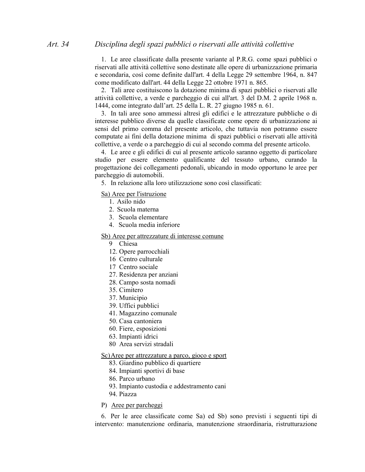1. Le aree classificate dalla presente variante al P.R.G. come spazi pubblici o riservati alle attività collettive sono destinate alle opere di urbanizzazione primaria e secondaria, così come definite dall'art. 4 della Legge 29 settembre 1964, n. 847 come modificato dall'art. 44 della Legge 22 ottobre 1971 n. 865.

2. Tali aree costituiscono la dotazione minima di spazi pubblici o riservati alle attività collettive, a verde e parcheggio di cui all'art. 3 del D.M. 2 aprile 1968 n. 1444, come integrato dall'art. 25 della L. R. 27 giugno 1985 n. 61.

3. In tali aree sono ammessi altresì gli edifici e le attrezzature pubbliche o di interesse pubblico diverse da quelle classificate come opere di urbanizzazione ai sensi del primo comma del presente articolo, che tuttavia non potranno essere computate ai fini della dotazione minima di spazi pubblici o riservati alle attività collettive, a verde o a parcheggio di cui al secondo comma del presente articolo.

4. Le aree e gli edifici di cui al presente articolo saranno oggetto di particolare studio per essere elemento qualificante del tessuto urbano, curando la progettazione dei collegamenti pedonali, ubicando in modo opportuno le aree per parcheggio di automobili.

5. In relazione alla loro utilizzazione sono così classificati:

Sa) Aree per l'istruzione

- 1 Asilo nido
- 2. Scuola materna
- 3. Scuola elementare
- 4. Scuola media inferiore

Sb) Aree per attrezzature di interesse comune

- 9 Chiesa
- 12. Opere parrocchiali
- 16 Centro culturale
- 17 Centro sociale
- 27. Residenza per anziani
- 28. Campo sosta nomadi
- 35. Cimitero
- 37. Municipio
- 39. Uffici pubblici
- 41. Magazzino comunale
- 50. Casa cantoniera
- 60. Fiere, esposizioni
- 63. Impianti idrici
- 80 Area servizi stradali

Sc) Aree per attrezzature a parco, gioco e sport

- 83. Giardino pubblico di quartiere
- 84. Impianti sportivi di base
- 86. Parco urbano
- 93. Impianto custodia e addestramento cani
- 94. Piazza
- P) Aree per parcheggi

6. Per le aree classificate come Sa) ed Sb) sono previsti i seguenti tipi di intervento: manutenzione ordinaria, manutenzione straordinaria, ristrutturazione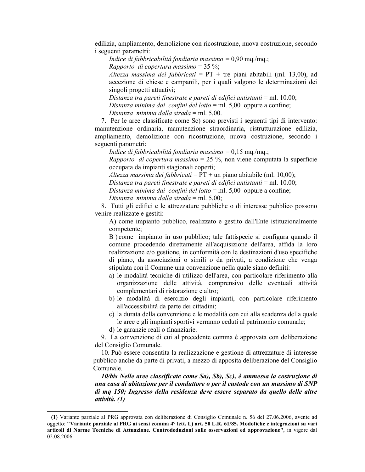edilizia, ampliamento, demolizione con ricostruzione, nuova costruzione, secondo *i* seguenti parametri:

Indice di fabbricabilità fondiaria massimo =  $0.90$  mq./mq.;

Rapporto di copertura massimo = 35 %;

Altezza massima dei fabbricati =  $PT + tre$  piani abitabili (ml. 13,00), ad accezione di chiese e campanili, per i quali valgono le determinazioni dei singoli progetti attuativi;

Distanza tra pareti finestrate e pareti di edifici antistanti = ml. 10.00; Distanza minima dai confini del lotto = ml. 5,00 oppure a confine; Distanza minima dalla strada = ml. 5.00.

7. Per le aree classificate come Sc) sono previsti i seguenti tipi di intervento: manutenzione ordinaria, manutenzione straordinaria, ristrutturazione edilizia, ampliamento, demolizione con ricostruzione, nuova costruzione, secondo i seguenti parametri:

Indice di fabbricabilità fondiaria massimo =  $0.15$  mg./mg.;

Rapporto di copertura massimo = 25 %, non viene computata la superficie occupata da impianti stagionali coperti;

Altezza massima dei fabbricati =  $PT +$ un piano abitabile (ml. 10,00); Distanza tra pareti finestrate e pareti di edifici antistanti = ml. 10.00; Distanza minima dai confini del lotto = ml. 5,00 oppure a confine;

Distanza minima dalla strada = ml. 5,00;

8. Tutti gli edifici e le attrezzature pubbliche o di interesse pubblico possono venire realizzate e gestiti:

A) come impianto pubblico, realizzato e gestito dall'Ente istituzionalmente competente;

B) come impianto in uso pubblico; tale fattispecie si configura quando il comune procedendo direttamente all'acquisizione dell'area, affida la loro realizzazione e/o gestione, in conformità con le destinazioni d'uso specifiche di piano, da associazioni o simili o da privati, a condizione che venga stipulata con il Comune una convenzione nella quale siano definiti:

- a) le modalità tecniche di utilizzo dell'area, con particolare riferimento alla organizzazione delle attività, comprensivo delle eventuali attività complementari di ristorazione e altro;
- b) le modalità di esercizio degli impianti, con particolare riferimento all'accessibilità da parte dei cittadini;
- c) la durata della convenzione e le modalità con cui alla scadenza della quale le aree e gli impianti sportivi verranno ceduti al patrimonio comunale;
- d) le garanzie reali o finanziarie.

9. La convenzione di cui al precedente comma è approvata con deliberazione del Consiglio Comunale.

10. Può essere consentita la realizzazione e gestione di attrezzature di interesse pubblico anche da parte di privati, a mezzo di apposita deliberazione del Consiglio Comunale.

10/bis Nelle aree classificate come Sa), Sb), Sc), è ammessa la costruzione di una casa di abitazione per il conduttore o per il custode con un massimo di SNP di mq 150; Ingresso della residenza deve essere separato da quello delle altre attività. (1)

<sup>(1)</sup> Variante parziale al PRG approvata con deliberazione di Consiglio Comunale n. 56 del 27.06.2006, avente ad oggetto: "Variante parziale al PRG ai sensi comma 4° lett. L) art. 50 L.R. 61/85. Modofiche e integrazioni su vari articoli di Norme Tecniche di Attuazione. Controdeduzioni sulle osservazioni ed approvazione", in vigore dal 02.08.2006.